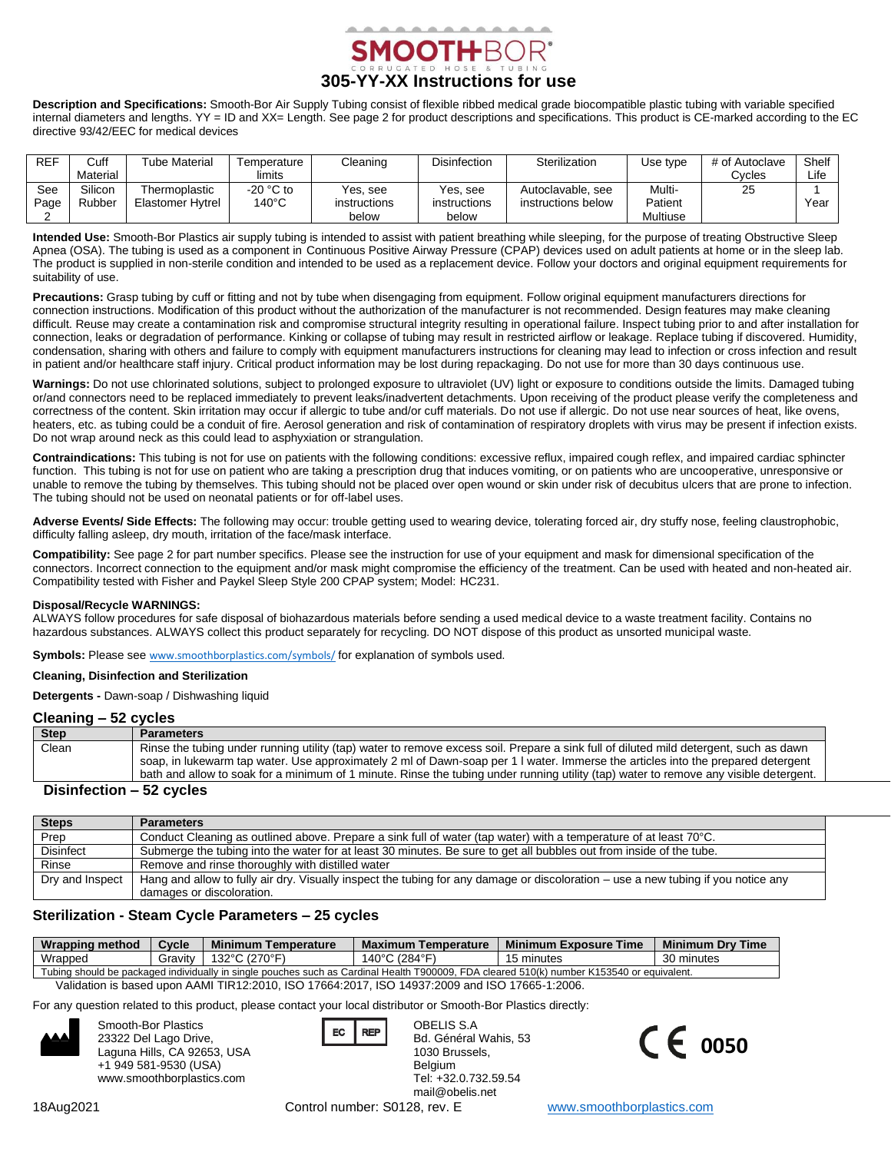

**Description and Specifications:** Smooth-Bor Air Supply Tubing consist of flexible ribbed medical grade biocompatible plastic tubing with variable specified internal diameters and lengths. YY = ID and XX= Length. See page 2 for product descriptions and specifications. This product is CE-marked according to the EC directive 93/42/EEC for medical devices

| <b>REF</b> | Cuff     | Tube Material    | Γemperature     | Cleaning     | <b>Disinfection</b> | Sterilization      | Use type | # of Autoclave | Shelf |
|------------|----------|------------------|-----------------|--------------|---------------------|--------------------|----------|----------------|-------|
|            | Material |                  | limits          |              |                     |                    |          | Cycles         | Life  |
| See        | Silicon  | Thermoplastic    | $-20$ °C to     | Yes, see     | Yes, see            | Autoclavable, see  | Multi-   | 25             |       |
| Page       | Rubber   | Elastomer Hytrel | $140^{\circ}$ C | instructions | instructions        | instructions below | Patient  |                | Year  |
|            |          |                  |                 | below        | below               |                    | Multiuse |                |       |

**Intended Use:** Smooth-Bor Plastics air supply tubing is intended to assist with patient breathing while sleeping, for the purpose of treating Obstructive Sleep Apnea (OSA). The tubing is used as a component in Continuous Positive Airway Pressure (CPAP) devices used on adult patients at home or in the sleep lab. The product is supplied in non-sterile condition and intended to be used as a replacement device. Follow your doctors and original equipment requirements for suitability of use.

**Precautions:** Grasp tubing by cuff or fitting and not by tube when disengaging from equipment. Follow original equipment manufacturers directions for connection instructions. Modification of this product without the authorization of the manufacturer is not recommended. Design features may make cleaning difficult. Reuse may create a contamination risk and compromise structural integrity resulting in operational failure. Inspect tubing prior to and after installation for connection, leaks or degradation of performance. Kinking or collapse of tubing may result in restricted airflow or leakage. Replace tubing if discovered. Humidity, condensation, sharing with others and failure to comply with equipment manufacturers instructions for cleaning may lead to infection or cross infection and result in patient and/or healthcare staff injury. Critical product information may be lost during repackaging. Do not use for more than 30 days continuous use.

Warnings: Do not use chlorinated solutions, subject to prolonged exposure to ultraviolet (UV) light or exposure to conditions outside the limits. Damaged tubing or/and connectors need to be replaced immediately to prevent leaks/inadvertent detachments. Upon receiving of the product please verify the completeness and correctness of the content. Skin irritation may occur if allergic to tube and/or cuff materials. Do not use if allergic. Do not use near sources of heat, like ovens, heaters, etc. as tubing could be a conduit of fire. Aerosol generation and risk of contamination of respiratory droplets with virus may be present if infection exists. Do not wrap around neck as this could lead to asphyxiation or strangulation.

**Contraindications:** This tubing is not for use on patients with the following conditions: excessive reflux, impaired cough reflex, and impaired cardiac sphincter function. This tubing is not for use on patient who are taking a prescription drug that induces vomiting, or on patients who are uncooperative, unresponsive or unable to remove the tubing by themselves. This tubing should not be placed over open wound or skin under risk of decubitus ulcers that are prone to infection. The tubing should not be used on neonatal patients or for off-label uses.

Adverse Events/ Side Effects: The following may occur: trouble getting used to wearing device, tolerating forced air, dry stuffy nose, feeling claustrophobic, difficulty falling asleep, dry mouth, irritation of the face/mask interface.

**Compatibility:** See page 2 for part number specifics. Please see the instruction for use of your equipment and mask for dimensional specification of the connectors. Incorrect connection to the equipment and/or mask might compromise the efficiency of the treatment. Can be used with heated and non-heated air. Compatibility tested with Fisher and Paykel Sleep Style 200 CPAP system; Model: HC231.

### **Disposal/Recycle WARNINGS:**

ALWAYS follow procedures for safe disposal of biohazardous materials before sending a used medical device to a waste treatment facility. Contains no hazardous substances. ALWAYS collect this product separately for recycling. DO NOT dispose of this product as unsorted municipal waste.

Symbols: Please see [www.smoothborplastics.com/symbols/](https://www.smoothborplastics.com/symbols/) for explanation of symbols used.

#### **Cleaning, Disinfection and Sterilization**

**Detergents -** Dawn-soap / Dishwashing liquid

### **Cleaning – 52 cycles**

| <b>Step</b>                                                                                                           | <b>Parameters</b>                                                                                                                     |
|-----------------------------------------------------------------------------------------------------------------------|---------------------------------------------------------------------------------------------------------------------------------------|
| Clean                                                                                                                 | Rinse the tubing under running utility (tap) water to remove excess soil. Prepare a sink full of diluted mild detergent, such as dawn |
|                                                                                                                       | soap, in lukewarm tap water. Use approximately 2 ml of Dawn-soap per 1 I water. Immerse the articles into the prepared detergent      |
|                                                                                                                       | bath and allow to soak for a minimum of 1 minute. Rinse the tubing under running utility (tap) water to remove any visible detergent. |
| <b>But and the second contract of the second contract of the second contract of the second contract of the second</b> |                                                                                                                                       |

### **Disinfection – 52 cycles**

| <b>Steps</b>     | <b>Parameters</b>                                                                                                                 |  |
|------------------|-----------------------------------------------------------------------------------------------------------------------------------|--|
| Prep             | Conduct Cleaning as outlined above. Prepare a sink full of water (tap water) with a temperature of at least 70°C.                 |  |
| <b>Disinfect</b> | Submerge the tubing into the water for at least 30 minutes. Be sure to get all bubbles out from inside of the tube.               |  |
| Rinse            | Remove and rinse thoroughly with distilled water                                                                                  |  |
| Dry and Inspect  | Hang and allow to fully air dry. Visually inspect the tubing for any damage or discoloration – use a new tubing if you notice any |  |
|                  | damages or discoloration.                                                                                                         |  |

## **Sterilization - Steam Cycle Parameters – 25 cycles**

| <b>Wrapping method</b> | Cycle   | <b>Minimum Temperature</b> | <b>Maximum Temperature</b>         | Minimum Exposure Time                                                                                                                      | <b>Minimum Dry Time</b> |
|------------------------|---------|----------------------------|------------------------------------|--------------------------------------------------------------------------------------------------------------------------------------------|-------------------------|
| Wrapped                | Gravit⊵ | 132°C (270°F)              | ` C (284° <sup>⊏)</sup> ب<br>⊥40°C | 15 minutes                                                                                                                                 | 30 minutes              |
|                        |         |                            |                                    | Tubing should be packaged individually in single pouches such as Cardinal Health T900009. FDA cleared 510(k) number K153540 or equivalent. |                         |
|                        |         |                            |                                    | .                                                                                                                                          |                         |

Validation is based upon AAMI TIR12:2010, ISO 17664:2017, ISO 14937:2009 and ISO 17665-1:2006.

For any question related to this product, please contact your local distributor or Smooth-Bor Plastics directly:



Smooth-Bor Plastics 23322 Del Lago Drive, Laguna Hills, CA 92653, USA +1 949 581-9530 (USA) www.smoothborplastics.com

Bd. Général Wahis, 53 1030 Brussels, Belgium Tel: +32.0.732.59.54 mail@obelis.net

OBELIS S.A



18Aug2021 Control number: S0128, rev. E [www.smoothborplastics.com](http://www.smoothborplastics.com/)